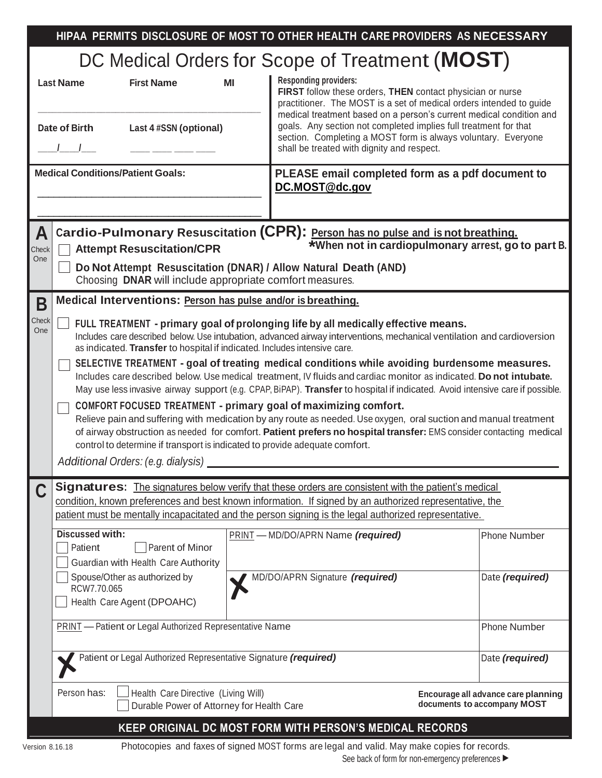|                                                                                                                                                                                                |                                                                                                                                                                                                                                                                                                                                                                                                                                                                                                                                                                                                                                                                                                                                                                                                                                                                                                                                                                                                                                                                                     |  | HIPAA PERMITS DISCLOSURE OF MOST TO OTHER HEALTH CARE PROVIDERS AS NECESSARY                                                                                                                                                                                                                                                                                                                                                |  |                     |  |  |  |  |  |
|------------------------------------------------------------------------------------------------------------------------------------------------------------------------------------------------|-------------------------------------------------------------------------------------------------------------------------------------------------------------------------------------------------------------------------------------------------------------------------------------------------------------------------------------------------------------------------------------------------------------------------------------------------------------------------------------------------------------------------------------------------------------------------------------------------------------------------------------------------------------------------------------------------------------------------------------------------------------------------------------------------------------------------------------------------------------------------------------------------------------------------------------------------------------------------------------------------------------------------------------------------------------------------------------|--|-----------------------------------------------------------------------------------------------------------------------------------------------------------------------------------------------------------------------------------------------------------------------------------------------------------------------------------------------------------------------------------------------------------------------------|--|---------------------|--|--|--|--|--|
|                                                                                                                                                                                                |                                                                                                                                                                                                                                                                                                                                                                                                                                                                                                                                                                                                                                                                                                                                                                                                                                                                                                                                                                                                                                                                                     |  | DC Medical Orders for Scope of Treatment (MOST)                                                                                                                                                                                                                                                                                                                                                                             |  |                     |  |  |  |  |  |
| <b>Last Name</b><br><b>Date of Birth</b>                                                                                                                                                       | <b>First Name</b><br>ΜI<br>Last 4 #SSN (optional)                                                                                                                                                                                                                                                                                                                                                                                                                                                                                                                                                                                                                                                                                                                                                                                                                                                                                                                                                                                                                                   |  | <b>Responding providers:</b><br>FIRST follow these orders, THEN contact physician or nurse<br>practitioner. The MOST is a set of medical orders intended to guide<br>medical treatment based on a person's current medical condition and<br>goals. Any section not completed implies full treatment for that<br>section. Completing a MOST form is always voluntary. Everyone<br>shall be treated with dignity and respect. |  |                     |  |  |  |  |  |
|                                                                                                                                                                                                |                                                                                                                                                                                                                                                                                                                                                                                                                                                                                                                                                                                                                                                                                                                                                                                                                                                                                                                                                                                                                                                                                     |  |                                                                                                                                                                                                                                                                                                                                                                                                                             |  |                     |  |  |  |  |  |
|                                                                                                                                                                                                | <b>Medical Conditions/Patient Goals:</b>                                                                                                                                                                                                                                                                                                                                                                                                                                                                                                                                                                                                                                                                                                                                                                                                                                                                                                                                                                                                                                            |  | PLEASE email completed form as a pdf document to<br>DC.MOST@dc.gov                                                                                                                                                                                                                                                                                                                                                          |  |                     |  |  |  |  |  |
| Cardio-Pulmonary Resuscitation (CPR): Person has no pulse and is not breathing.<br>A<br>*When not in cardiopulmonary arrest, go to part B.<br><b>Attempt Resuscitation/CPR</b><br>Check<br>One |                                                                                                                                                                                                                                                                                                                                                                                                                                                                                                                                                                                                                                                                                                                                                                                                                                                                                                                                                                                                                                                                                     |  |                                                                                                                                                                                                                                                                                                                                                                                                                             |  |                     |  |  |  |  |  |
|                                                                                                                                                                                                | Do Not Attempt Resuscitation (DNAR) / Allow Natural Death (AND)<br>Choosing DNAR will include appropriate comfort measures.                                                                                                                                                                                                                                                                                                                                                                                                                                                                                                                                                                                                                                                                                                                                                                                                                                                                                                                                                         |  |                                                                                                                                                                                                                                                                                                                                                                                                                             |  |                     |  |  |  |  |  |
| Β                                                                                                                                                                                              | Medical Interventions: Person has pulse and/or is breathing.                                                                                                                                                                                                                                                                                                                                                                                                                                                                                                                                                                                                                                                                                                                                                                                                                                                                                                                                                                                                                        |  |                                                                                                                                                                                                                                                                                                                                                                                                                             |  |                     |  |  |  |  |  |
| Check<br>One                                                                                                                                                                                   | FULL TREATMENT - primary goal of prolonging life by all medically effective means.<br>Includes care described below. Use intubation, advanced airway interventions, mechanical ventilation and cardioversion<br>as indicated. Transfer to hospital if indicated. Includes intensive care.<br>SELECTIVE TREATMENT - goal of treating medical conditions while avoiding burdensome measures.<br>Includes care described below. Use medical treatment, IV fluids and cardiac monitor as indicated. Do not intubate.<br>May use less invasive airway support (e.g. CPAP, BiPAP). Transfer to hospital if indicated. Avoid intensive care if possible.<br>COMFORT FOCUSED TREATMENT - primary goal of maximizing comfort.<br>Relieve pain and suffering with medication by any route as needed. Use oxygen, oral suction and manual treatment<br>of airway obstruction as needed for comfort. Patient prefers no hospital transfer: EMS consider contacting medical<br>control to determine if transport is indicated to provide adequate comfort.<br>Additional Orders: (e.g. dialysis) |  |                                                                                                                                                                                                                                                                                                                                                                                                                             |  |                     |  |  |  |  |  |
|                                                                                                                                                                                                |                                                                                                                                                                                                                                                                                                                                                                                                                                                                                                                                                                                                                                                                                                                                                                                                                                                                                                                                                                                                                                                                                     |  | <b>Signatures:</b> The signatures below verify that these orders are consistent with the patient's medical                                                                                                                                                                                                                                                                                                                  |  |                     |  |  |  |  |  |
|                                                                                                                                                                                                |                                                                                                                                                                                                                                                                                                                                                                                                                                                                                                                                                                                                                                                                                                                                                                                                                                                                                                                                                                                                                                                                                     |  | condition, known preferences and best known information. If signed by an authorized representative, the<br>patient must be mentally incapacitated and the person signing is the legal authorized representative.                                                                                                                                                                                                            |  |                     |  |  |  |  |  |
| <b>Discussed with:</b><br>Patient                                                                                                                                                              | Parent of Minor<br>Guardian with Health Care Authority                                                                                                                                                                                                                                                                                                                                                                                                                                                                                                                                                                                                                                                                                                                                                                                                                                                                                                                                                                                                                              |  | PRINT - MD/DO/APRN Name (required)                                                                                                                                                                                                                                                                                                                                                                                          |  | <b>Phone Number</b> |  |  |  |  |  |
| RCW7.70.065                                                                                                                                                                                    | Spouse/Other as authorized by<br>Health Care Agent (DPOAHC)                                                                                                                                                                                                                                                                                                                                                                                                                                                                                                                                                                                                                                                                                                                                                                                                                                                                                                                                                                                                                         |  | MD/DO/APRN Signature (required)                                                                                                                                                                                                                                                                                                                                                                                             |  | Date (required)     |  |  |  |  |  |
|                                                                                                                                                                                                | <b>PRINT</b> - Patient or Legal Authorized Representative Name                                                                                                                                                                                                                                                                                                                                                                                                                                                                                                                                                                                                                                                                                                                                                                                                                                                                                                                                                                                                                      |  |                                                                                                                                                                                                                                                                                                                                                                                                                             |  | <b>Phone Number</b> |  |  |  |  |  |
|                                                                                                                                                                                                | Patient or Legal Authorized Representative Signature (required)<br>Date (required)                                                                                                                                                                                                                                                                                                                                                                                                                                                                                                                                                                                                                                                                                                                                                                                                                                                                                                                                                                                                  |  |                                                                                                                                                                                                                                                                                                                                                                                                                             |  |                     |  |  |  |  |  |
|                                                                                                                                                                                                | Person has:<br>Health Care Directive (Living Will)<br>Encourage all advance care planning<br>documents to accompany MOST<br>Durable Power of Attorney for Health Care                                                                                                                                                                                                                                                                                                                                                                                                                                                                                                                                                                                                                                                                                                                                                                                                                                                                                                               |  |                                                                                                                                                                                                                                                                                                                                                                                                                             |  |                     |  |  |  |  |  |
|                                                                                                                                                                                                | <b>KEEP ORIGINAL DC MOST FORM WITH PERSON'S MEDICAL RECORDS</b>                                                                                                                                                                                                                                                                                                                                                                                                                                                                                                                                                                                                                                                                                                                                                                                                                                                                                                                                                                                                                     |  |                                                                                                                                                                                                                                                                                                                                                                                                                             |  |                     |  |  |  |  |  |
| Photocopies and faxes of signed MOST forms are legal and valid. May make copies for records.<br>Version 8.16.18                                                                                |                                                                                                                                                                                                                                                                                                                                                                                                                                                                                                                                                                                                                                                                                                                                                                                                                                                                                                                                                                                                                                                                                     |  |                                                                                                                                                                                                                                                                                                                                                                                                                             |  |                     |  |  |  |  |  |

See back of form for non-emergency preferences